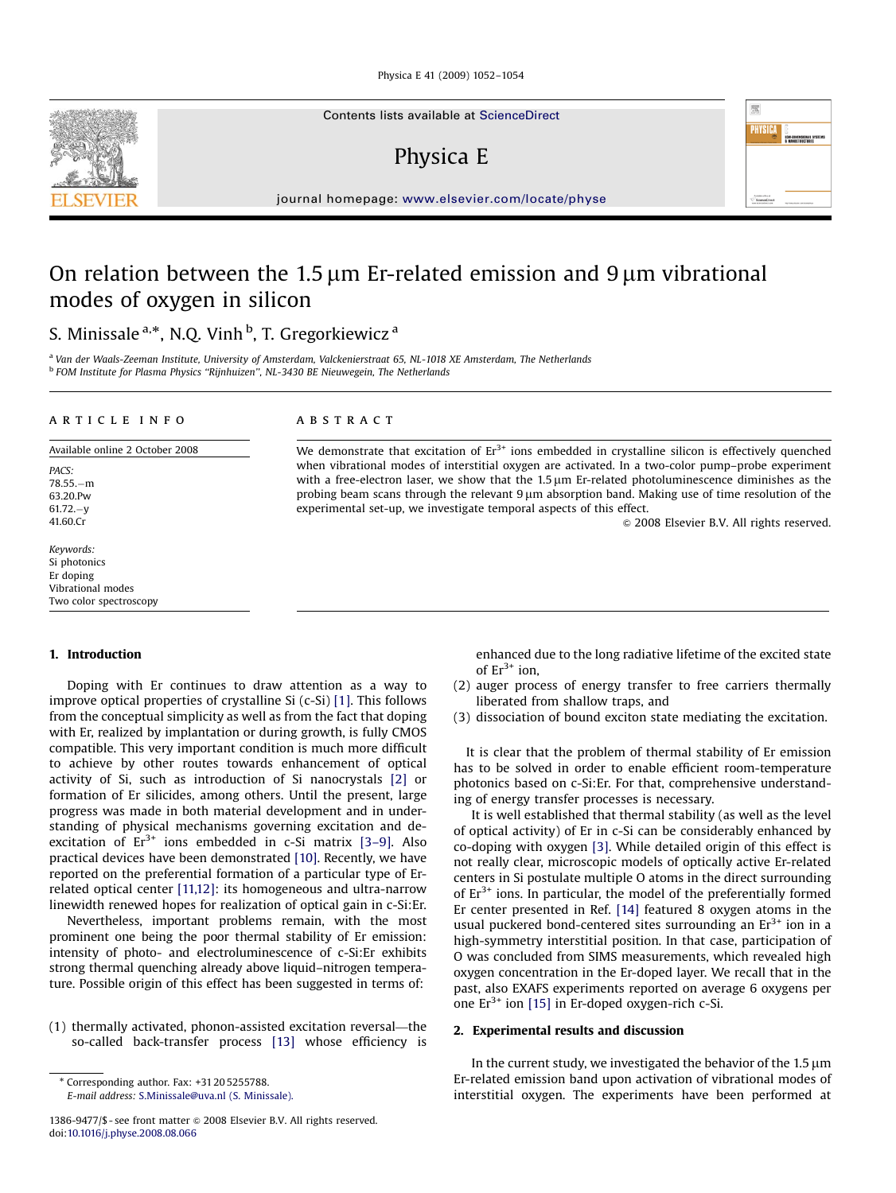Physica E 41 (2009) 1052–1054

Contents lists available at [ScienceDirect](www.sciencedirect.com/science/journal/physe)

## Physica E

journal homepage: <www.elsevier.com/locate/physe>

experimental set-up, we investigate temporal aspects of this effect.

# On relation between the 1.5  $\mu$ m Er-related emission and 9  $\mu$ m vibrational modes of oxygen in silicon

## S. Minissale <sup>a,\*</sup>, N.Q. Vinh <sup>b</sup>, T. Gregorkiewicz <sup>a</sup>

<sup>a</sup> Van der Waals-Zeeman Institute, University of Amsterdam, Valckenierstraat 65, NL-1018 XE Amsterdam, The Netherlands <sup>b</sup> FOM Institute for Plasma Physics ''Rijnhuizen'', NL-3430 BE Nieuwegein, The Netherlands

#### article info

#### ABSTRACT

Available online 2 October 2008 PACS: 78.55.-m 63.20.Pw 61.72.-y 41.60.Cr

Keywords: Si photonics Er doping Vibrational modes Two color spectroscopy

### 1. Introduction

Doping with Er continues to draw attention as a way to improve optical properties of crystalline Si (c-Si) [\[1\].](#page-2-0) This follows from the conceptual simplicity as well as from the fact that doping with Er, realized by implantation or during growth, is fully CMOS compatible. This very important condition is much more difficult to achieve by other routes towards enhancement of optical activity of Si, such as introduction of Si nanocrystals [\[2\]](#page-2-0) or formation of Er silicides, among others. Until the present, large progress was made in both material development and in understanding of physical mechanisms governing excitation and deexcitation of  $Er^{3+}$  ions embedded in c-Si matrix [3-9]. Also practical devices have been demonstrated [\[10\].](#page-2-0) Recently, we have reported on the preferential formation of a particular type of Errelated optical center [\[11,12\]:](#page-2-0) its homogeneous and ultra-narrow linewidth renewed hopes for realization of optical gain in c-Si:Er.

Nevertheless, important problems remain, with the most prominent one being the poor thermal stability of Er emission: intensity of photo- and electroluminescence of c-Si:Er exhibits strong thermal quenching already above liquid–nitrogen temperature. Possible origin of this effect has been suggested in terms of:

(1) thermally activated, phonon-assisted excitation reversal—the so-called back-transfer process [\[13\]](#page-2-0) whose efficiency is

enhanced due to the long radiative lifetime of the excited state of  $Er^{3+}$  ion,

 $© 2008 Elsevier B.V. All rights reserved.$ 

版 PHYSIC

- (2) auger process of energy transfer to free carriers thermally liberated from shallow traps, and
- (3) dissociation of bound exciton state mediating the excitation.

It is clear that the problem of thermal stability of Er emission has to be solved in order to enable efficient room-temperature photonics based on c-Si:Er. For that, comprehensive understanding of energy transfer processes is necessary.

It is well established that thermal stability (as well as the level of optical activity) of Er in c-Si can be considerably enhanced by co-doping with oxygen [\[3\].](#page-2-0) While detailed origin of this effect is not really clear, microscopic models of optically active Er-related centers in Si postulate multiple O atoms in the direct surrounding of  $Er<sup>3+</sup>$  ions. In particular, the model of the preferentially formed Er center presented in Ref. [\[14\]](#page-2-0) featured 8 oxygen atoms in the usual puckered bond-centered sites surrounding an  $Er<sup>3+</sup>$  ion in a high-symmetry interstitial position. In that case, participation of O was concluded from SIMS measurements, which revealed high oxygen concentration in the Er-doped layer. We recall that in the past, also EXAFS experiments reported on average 6 oxygens per one  $Er^{3+}$  ion [\[15\]](#page-2-0) in Er-doped oxygen-rich c-Si.

### 2. Experimental results and discussion

We demonstrate that excitation of  $Er<sup>3+</sup>$  ions embedded in crystalline silicon is effectively quenched when vibrational modes of interstitial oxygen are activated. In a two-color pump–probe experiment with a free-electron laser, we show that the  $1.5 \mu m$  Er-related photoluminescence diminishes as the probing beam scans through the relevant 9 um absorption band. Making use of time resolution of the

> In the current study, we investigated the behavior of the  $1.5 \mu m$ Er-related emission band upon activation of vibrational modes of interstitial oxygen. The experiments have been performed at



<sup>-</sup> Corresponding author. Fax: +31 20 5255788. E-mail address: [S.Minissale@uva.nl \(S. Minissale\).](mailto:S.Minissale@uva.nl)

<sup>1386-9477/\$ -</sup> see front matter  $\circ$  2008 Elsevier B.V. All rights reserved. doi:[10.1016/j.physe.2008.08.066](dx.doi.org/10.1016/j.physe.2008.08.066)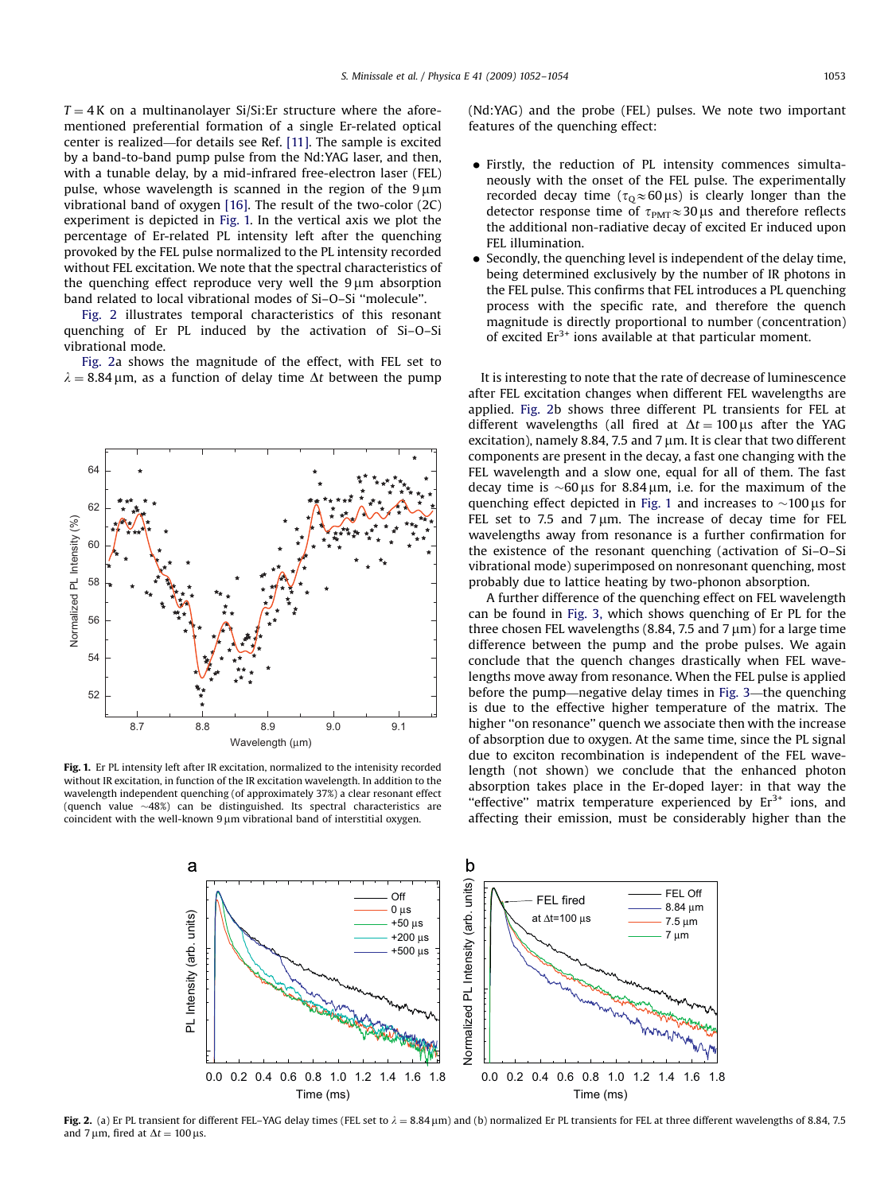$T = 4$ K on a multinanolayer Si/Si:Er structure where the aforementioned preferential formation of a single Er-related optical center is realized—for details see Ref. [\[11\]](#page-2-0). The sample is excited by a band-to-band pump pulse from the Nd:YAG laser, and then, with a tunable delay, by a mid-infrared free-electron laser (FEL) pulse, whose wavelength is scanned in the region of the  $9 \mu m$ vibrational band of oxygen [\[16\].](#page-2-0) The result of the two-color (2C) experiment is depicted in Fig. 1. In the vertical axis we plot the percentage of Er-related PL intensity left after the quenching provoked by the FEL pulse normalized to the PL intensity recorded without FEL excitation. We note that the spectral characteristics of the quenching effect reproduce very well the  $9 \mu m$  absorption band related to local vibrational modes of Si–O–Si ''molecule''.

Fig. 2 illustrates temporal characteristics of this resonant quenching of Er PL induced by the activation of Si–O–Si vibrational mode.

Fig. 2a shows the magnitude of the effect, with FEL set to  $\lambda = 8.84 \,\mu$ m, as a function of delay time  $\Delta t$  between the pump



Fig. 1. Er PL intensity left after IR excitation, normalized to the intenisity recorded without IR excitation, in function of the IR excitation wavelength. In addition to the wavelength independent quenching (of approximately 37%) a clear resonant effect (quench value  $~\sim$ 48%) can be distinguished. Its spectral characteristics are coincident with the well-known  $9 \mu m$  vibrational band of interstitial oxygen.

(Nd:YAG) and the probe (FEL) pulses. We note two important features of the quenching effect:

- Firstly, the reduction of PL intensity commences simultaneously with the onset of the FEL pulse. The experimentally recorded decay time ( $\tau_{\text{Q}} \approx 60 \,\mu s$ ) is clearly longer than the detector response time of  $\tau_{PMT} \approx 30 \,\mu s$  and therefore reflects the additional non-radiative decay of excited Er induced upon FEL illumination.
- Secondly, the quenching level is independent of the delay time, being determined exclusively by the number of IR photons in the FEL pulse. This confirms that FEL introduces a PL quenching process with the specific rate, and therefore the quench magnitude is directly proportional to number (concentration) of excited  $Er^{3+}$  ions available at that particular moment.

It is interesting to note that the rate of decrease of luminescence after FEL excitation changes when different FEL wavelengths are applied. Fig. 2b shows three different PL transients for FEL at different wavelengths (all fired at  $\Delta t = 100 \,\mu s$  after the YAG excitation), namely 8.84, 7.5 and 7  $\mu$ m. It is clear that two different components are present in the decay, a fast one changing with the FEL wavelength and a slow one, equal for all of them. The fast decay time is  $\sim 60 \,\mu s$  for 8.84  $\mu$ m, i.e. for the maximum of the quenching effect depicted in Fig. 1 and increases to  $\sim$ 100  $\mu$ s for FEL set to 7.5 and 7  $\mu$ m. The increase of decay time for FEL wavelengths away from resonance is a further confirmation for the existence of the resonant quenching (activation of Si–O–Si vibrational mode) superimposed on nonresonant quenching, most probably due to lattice heating by two-phonon absorption.

A further difference of the quenching effect on FEL wavelength can be found in [Fig. 3,](#page-2-0) which shows quenching of Er PL for the three chosen FEL wavelengths  $(8.84, 7.5 \text{ and } 7 \mu \text{m})$  for a large time difference between the pump and the probe pulses. We again conclude that the quench changes drastically when FEL wavelengths move away from resonance. When the FEL pulse is applied before the pump—negative delay times in [Fig. 3](#page-2-0)—the quenching is due to the effective higher temperature of the matrix. The higher ''on resonance'' quench we associate then with the increase of absorption due to oxygen. At the same time, since the PL signal due to exciton recombination is independent of the FEL wavelength (not shown) we conclude that the enhanced photon absorption takes place in the Er-doped layer: in that way the "effective" matrix temperature experienced by  $Er^{3+}$  ions, and affecting their emission, must be considerably higher than the



Fig. 2. (a) Er PL transient for different FEL-YAG delay times (FEL set to  $\lambda = 8.84 \,\mu$ m) and (b) normalized Er PL transients for FEL at three different wavelengths of 8.84, 7.5 and 7 µm, fired at  $\Delta t = 100$  µs.